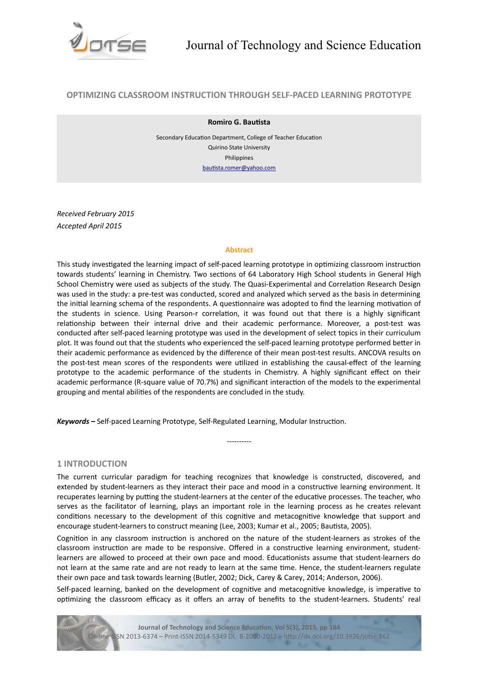

# **OPTIMIZING CLASSROOM INSTRUCTION THROUGH SELF-PACED LEARNING PROTOTYPE**

#### **Romiro G. Bautsta**

Secondary Education Department, College of Teacher Education Quirino State University Philippines [bautsta.romer@yahoo.com](mailto:bautista.romer@yahoo.com)

*Received February 2015 Accepted April 2015*

#### **Abstract**

This study investgated the learning impact of self-paced learning prototype in optmizing classroom instructon towards students' learning in Chemistry. Two sectons of 64 Laboratory High School students in General High School Chemistry were used as subjects of the study. The Quasi-Experimental and Correlation Research Design was used in the study: a pre-test was conducted, scored and analyzed which served as the basis in determining the initial learning schema of the respondents. A questionnaire was adopted to find the learning motivation of the students in science. Using Pearson-r correlaton, it was found out that there is a highly signifcant relatonship between their internal drive and their academic performance. Moreover, a post-test was conducted afer self-paced learning prototype was used in the development of select topics in their curriculum plot. It was found out that the students who experienced the self-paced learning prototype performed beter in their academic performance as evidenced by the diference of their mean post-test results. ANCOVA results on the post-test mean scores of the respondents were utlized in establishing the causal-efect of the learning prototype to the academic performance of the students in Chemistry. A highly signifcant efect on their academic performance (R-square value of 70.7%) and signifcant interacton of the models to the experimental grouping and mental abilities of the respondents are concluded in the study.

*Keywords –* Self-paced Learning Prototype, Self-Regulated Learning, Modular Instructon.

## **1 INTRODUCTION**

The current curricular paradigm for teaching recognizes that knowledge is constructed, discovered, and extended by student-learners as they interact their pace and mood in a constructive learning environment. It recuperates learning by putting the student-learners at the center of the educative processes. The teacher, who serves as the facilitator of learning, plays an important role in the learning process as he creates relevant conditons necessary to the development of this cognitve and metacognitve knowledge that support and encourage student-learners to construct meaning (Lee, 2003; Kumar et al., 2005; Bautsta, 2005).

----------

Cognition in any classroom instruction is anchored on the nature of the student-learners as strokes of the classroom instruction are made to be responsive. Offered in a constructive learning environment, studentlearners are allowed to proceed at their own pace and mood. Educatonists assume that student-learners do not learn at the same rate and are not ready to learn at the same time. Hence, the student-learners regulate their own pace and task towards learning (Butler, 2002; Dick, Carey & Carey, 2014; Anderson, 2006).

Self-paced learning, banked on the development of cognitive and metacognitive knowledge, is imperative to optimizing the classroom efficacy as it offers an array of benefits to the student-learners. Students' real

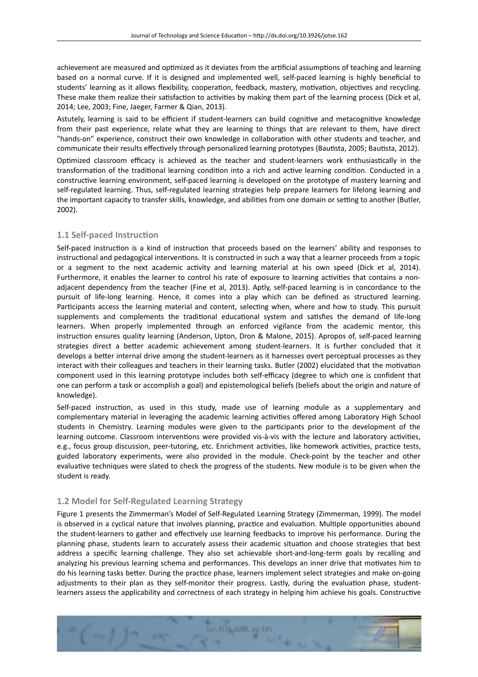achievement are measured and optimized as it deviates from the artificial assumptions of teaching and learning based on a normal curve. If it is designed and implemented well, self-paced learning is highly benefcial to students' learning as it allows flexibility, cooperation, feedback, mastery, motivation, objectives and recycling. These make them realize their satisfaction to activities by making them part of the learning process (Dick et al, 2014; Lee, 2003; Fine, Jaeger, Farmer & Qian, 2013).

Astutely, learning is said to be efficient if student-learners can build cognitive and metacognitive knowledge from their past experience, relate what they are learning to things that are relevant to them, have direct "hands-on" experience, construct their own knowledge in collaboration with other students and teacher, and communicate their results efectvely through personalized learning prototypes (Bautsta, 2005; Bautsta, 2012).

Optimized classroom efficacy is achieved as the teacher and student-learners work enthusiastically in the transformation of the traditional learning condition into a rich and active learning condition. Conducted in a constructive learning environment, self-paced learning is developed on the prototype of mastery learning and self-regulated learning. Thus, self-regulated learning strategies help prepare learners for lifelong learning and the important capacity to transfer skills, knowledge, and abilities from one domain or setting to another (Butler, 2002).

# **1.1 Self-paced Instruction**

Self-paced instruction is a kind of instruction that proceeds based on the learners' ability and responses to instructional and pedagogical interventions. It is constructed in such a way that a learner proceeds from a topic or a segment to the next academic actvity and learning material at his own speed (Dick et al, 2014). Furthermore, it enables the learner to control his rate of exposure to learning activities that contains a nonadjacent dependency from the teacher (Fine et al, 2013). Aptly, self-paced learning is in concordance to the pursuit of life-long learning. Hence, it comes into a play which can be defned as structured learning. Participants access the learning material and content, selecting when, where and how to study. This pursuit supplements and complements the traditional educational system and satisfies the demand of life-long learners. When properly implemented through an enforced vigilance from the academic mentor, this instructon ensures quality learning (Anderson, Upton, Dron & Malone, 2015). Apropos of, self-paced learning strategies direct a beter academic achievement among student-learners. It is further concluded that it develops a beter internal drive among the student-learners as it harnesses overt perceptual processes as they interact with their colleagues and teachers in their learning tasks. Butler (2002) elucidated that the motvaton component used in this learning prototype includes both self-efficacy (degree to which one is confident that one can perform a task or accomplish a goal) and epistemological beliefs (beliefs about the origin and nature of knowledge).

Self-paced instruction, as used in this study, made use of learning module as a supplementary and complementary material in leveraging the academic learning activities offered among Laboratory High School students in Chemistry. Learning modules were given to the partcipants prior to the development of the learning outcome. Classroom interventions were provided vis-à-vis with the lecture and laboratory activities, e.g., focus group discussion, peer-tutoring, etc. Enrichment activities, like homework activities, practice tests, guided laboratory experiments, were also provided in the module. Check-point by the teacher and other evaluatve techniques were slated to check the progress of the students. New module is to be given when the student is ready.

# **1.2 Model for Self-Regulated Learning Strategy**

Figure 1 presents the Zimmerman's Model of Self-Regulated Learning Strategy (Zimmerman, 1999). The model is observed in a cyclical nature that involves planning, practice and evaluation. Multiple opportunities abound the student-learners to gather and effectively use learning feedbacks to improve his performance. During the planning phase, students learn to accurately assess their academic situaton and choose strategies that best address a specifc learning challenge. They also set achievable short-and-long-term goals by recalling and analyzing his previous learning schema and performances. This develops an inner drive that motvates him to do his learning tasks better. During the practice phase, learners implement select strategies and make on-going adjustments to their plan as they self-monitor their progress. Lastly, during the evaluation phase, studentlearners assess the applicability and correctness of each strategy in helping him achieve his goals. Constructive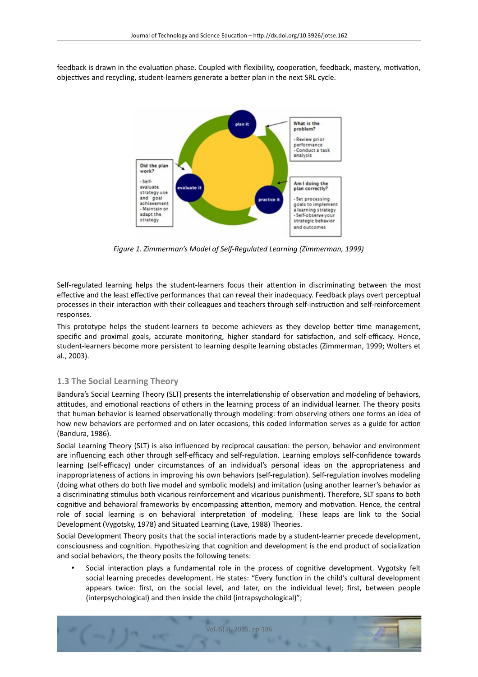feedback is drawn in the evaluation phase. Coupled with flexibility, cooperation, feedback, mastery, motivation, objectves and recycling, student-learners generate a beter plan in the next SRL cycle.



*Figure 1. Zimmerman's Model of Self-Regulated Learning (Zimmerman, 1999)*

Self-regulated learning helps the student-learners focus their attention in discriminating between the most effective and the least effective performances that can reveal their inadequacy. Feedback plays overt perceptual processes in their interaction with their colleagues and teachers through self-instruction and self-reinforcement responses.

This prototype helps the student-learners to become achievers as they develop beter tme management, specific and proximal goals, accurate monitoring, higher standard for satisfaction, and self-efficacy. Hence, student-learners become more persistent to learning despite learning obstacles (Zimmerman, 1999; Wolters et al., 2003).

## **1.3 The Social Learning Theory**

Bandura's Social Learning Theory (SLT) presents the interrelationship of observation and modeling of behaviors, attitudes, and emotional reactions of others in the learning process of an individual learner. The theory posits that human behavior is learned observatonally through modeling: from observing others one forms an idea of how new behaviors are performed and on later occasions, this coded information serves as a guide for action (Bandura, 1986).

Social Learning Theory (SLT) is also infuenced by reciprocal causaton: the person, behavior and environment are influencing each other through self-efficacy and self-regulation. Learning employs self-confidence towards learning (self-efficacy) under circumstances of an individual's personal ideas on the appropriateness and inappropriateness of actions in improving his own behaviors (self-regulation). Self-regulation involves modeling (doing what others do both live model and symbolic models) and imitaton (using another learner's behavior as a discriminatng stmulus both vicarious reinforcement and vicarious punishment). Therefore, SLT spans to both cognitive and behavioral frameworks by encompassing attention, memory and motivation. Hence, the central role of social learning is on behavioral interpretation of modeling. These leaps are link to the Social Development (Vygotsky, 1978) and Situated Learning (Lave, 1988) Theories.

Social Development Theory posits that the social interactions made by a student-learner precede development, consciousness and cogniton. Hypothesizing that cogniton and development is the end product of socializaton and social behaviors, the theory posits the following tenets:

Social interaction plays a fundamental role in the process of cognitive development. Vygotsky felt social learning precedes development. He states: "Every function in the child's cultural development appears twice: frst, on the social level, and later, on the individual level; frst, between people (interpsychological) and then inside the child (intrapsychological)";

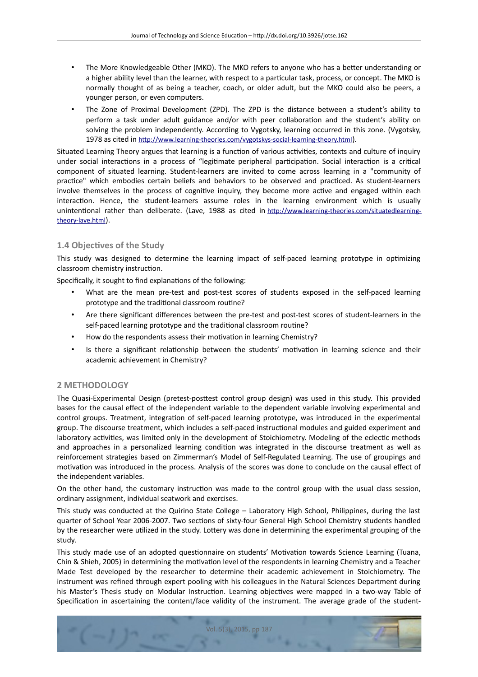- The More Knowledgeable Other (MKO). The MKO refers to anyone who has a beter understanding or a higher ability level than the learner, with respect to a partcular task, process, or concept. The MKO is normally thought of as being a teacher, coach, or older adult, but the MKO could also be peers, a younger person, or even computers.
- The Zone of Proximal Development (ZPD). The ZPD is the distance between a student's ability to perform a task under adult guidance and/or with peer collaboration and the student's ability on solving the problem independently. According to Vygotsky, learning occurred in this zone. (Vygotsky, 1978 as cited in [htp://www.learning-theories.com/vygotskys-social-learning-theory.html](http://www.learning-theories.com/vygotskys-social-learning-theory.html)).

Situated Learning Theory argues that learning is a function of various activities, contexts and culture of inquiry under social interactions in a process of "legitimate peripheral participation. Social interaction is a critical component of situated learning. Student-learners are invited to come across learning in a "community of practice" which embodies certain beliefs and behaviors to be observed and practiced. As student-learners involve themselves in the process of cognitive inquiry, they become more active and engaged within each interacton. Hence, the student-learners assume roles in the learning environment which is usually unintentonal rather than deliberate. (Lave, 1988 as cited in [htp://www.learning-theories.com/situatedlearning](http://www.learning-theories.com/situatedlearning-theory-lave.html)[theory-lave.html](http://www.learning-theories.com/situatedlearning-theory-lave.html)).

# **1.4 Objectives of the Study**

This study was designed to determine the learning impact of self-paced learning prototype in optmizing classroom chemistry instruction.

Specifically, it sought to find explanations of the following:

- What are the mean pre-test and post-test scores of students exposed in the self-paced learning prototype and the traditional classroom routine?
- Are there signifcant diferences between the pre-test and post-test scores of student-learners in the self-paced learning prototype and the traditonal classroom routne?
- How do the respondents assess their motivation in learning Chemistry?
- Is there a significant relationship between the students' motivation in learning science and their academic achievement in Chemistry?

## **2 METHODOLOGY**

The Quasi-Experimental Design (pretest-postest control group design) was used in this study. This provided bases for the causal efect of the independent variable to the dependent variable involving experimental and control groups. Treatment, integration of self-paced learning prototype, was introduced in the experimental group. The discourse treatment, which includes a self-paced instructonal modules and guided experiment and laboratory activities, was limited only in the development of Stoichiometry. Modeling of the eclectic methods and approaches in a personalized learning conditon was integrated in the discourse treatment as well as reinforcement strategies based on Zimmerman's Model of Self-Regulated Learning. The use of groupings and motivation was introduced in the process. Analysis of the scores was done to conclude on the causal effect of the independent variables.

On the other hand, the customary instruction was made to the control group with the usual class session, ordinary assignment, individual seatwork and exercises.

This study was conducted at the Quirino State College – Laboratory High School, Philippines, during the last quarter of School Year 2006-2007. Two sections of sixty-four General High School Chemistry students handled by the researcher were utlized in the study. Lotery was done in determining the experimental grouping of the study.

This study made use of an adopted questionnaire on students' Motivation towards Science Learning (Tuana, Chin & Shieh, 2005) in determining the motvaton level of the respondents in learning Chemistry and a Teacher Made Test developed by the researcher to determine their academic achievement in Stoichiometry. The instrument was refned through expert pooling with his colleagues in the Natural Sciences Department during his Master's Thesis study on Modular Instruction. Learning objectives were mapped in a two-way Table of Specification in ascertaining the content/face validity of the instrument. The average grade of the student-

Vol. 5(3), 2015, pp 187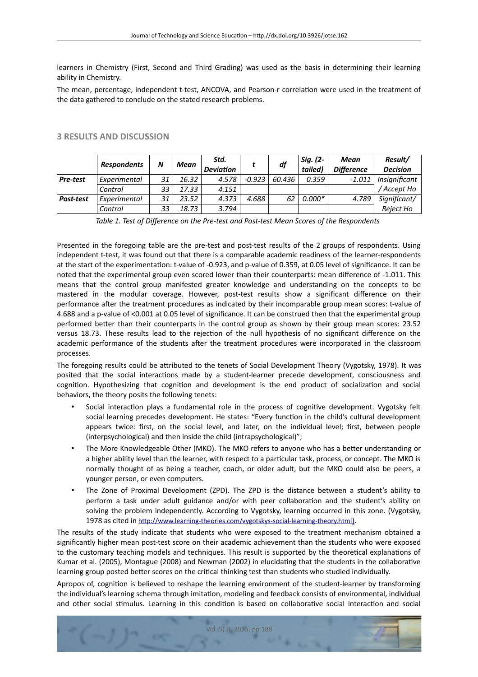learners in Chemistry (First, Second and Third Grading) was used as the basis in determining their learning ability in Chemistry.

The mean, percentage, independent t-test, ANCOVA, and Pearson-r correlation were used in the treatment of the data gathered to conclude on the stated research problems.

|           | <b>Respondents</b> | N  | Mean  | Std.<br><b>Deviation</b> |          | df     | Sig. (2-<br>tailed) | Mean<br><b>Difference</b> | Result/<br><b>Decision</b> |
|-----------|--------------------|----|-------|--------------------------|----------|--------|---------------------|---------------------------|----------------------------|
| Pre-test  | Experimental       | 31 | 16.32 | 4.578                    | $-0.923$ | 60.436 | 0.359               | $-1.011$                  | Insignificant              |
|           | Control            | 33 | 17.33 | 4.151                    |          |        |                     |                           | <sup>/</sup> Accept Ho     |
| Post-test | Experimental       | 31 | 23.52 | 4.373                    | 4.688    | 62     | $0.000*$            | 4.789                     | Significant/               |
|           | Control            | 33 | 18.73 | 3.794                    |          |        |                     |                           | Reject Ho                  |

### **3 RESULTS AND DISCUSSION**

*Table 1. Test of Diference on the Pre-test and Post-test Mean Scores of the Respondents* 

Presented in the foregoing table are the pre-test and post-test results of the 2 groups of respondents. Using independent t-test, it was found out that there is a comparable academic readiness of the learner-respondents at the start of the experimentaton: t-value of -0.923, and p-value of 0.359, at 0.05 level of signifcance. It can be noted that the experimental group even scored lower than their counterparts: mean diference of -1.011. This means that the control group manifested greater knowledge and understanding on the concepts to be mastered in the modular coverage. However, post-test results show a signifcant diference on their performance afer the treatment procedures as indicated by their incomparable group mean scores: t-value of 4.688 and a p-value of <0.001 at 0.05 level of signifcance. It can be construed then that the experimental group performed better than their counterparts in the control group as shown by their group mean scores: 23.52 versus 18.73. These results lead to the rejection of the null hypothesis of no significant difference on the academic performance of the students afer the treatment procedures were incorporated in the classroom processes.

The foregoing results could be atributed to the tenets of Social Development Theory (Vygotsky, 1978). It was posited that the social interactons made by a student-learner precede development, consciousness and cogniton. Hypothesizing that cogniton and development is the end product of socializaton and social behaviors, the theory posits the following tenets:

- Social interaction plays a fundamental role in the process of cognitive development. Vygotsky felt social learning precedes development. He states: "Every function in the child's cultural development appears twice: first, on the social level, and later, on the individual level; first, between people (interpsychological) and then inside the child (intrapsychological)";
- The More Knowledgeable Other (MKO). The MKO refers to anyone who has a beter understanding or a higher ability level than the learner, with respect to a particular task, process, or concept. The MKO is normally thought of as being a teacher, coach, or older adult, but the MKO could also be peers, a younger person, or even computers.
- The Zone of Proximal Development (ZPD). The ZPD is the distance between a student's ability to perform a task under adult guidance and/or with peer collaboration and the student's ability on solving the problem independently. According to Vygotsky, learning occurred in this zone. (Vygotsky, 1978 as cited in [htp://www.learning-theories.com/vygotskys-social-learning-theory.html](http://www.learning-theories.com/vygotskys-social-learning-theory.html))[\).](http://www.learning-theories.com/vygotskys-social-learning-theory.html))

The results of the study indicate that students who were exposed to the treatment mechanism obtained a signifcantly higher mean post-test score on their academic achievement than the students who were exposed to the customary teaching models and techniques. This result is supported by the theoretical explanations of Kumar et al. (2005), Montague (2008) and Newman (2002) in elucidatng that the students in the collaboratve learning group posted better scores on the critical thinking test than students who studied individually.

Apropos of, cogniton is believed to reshape the learning environment of the student-learner by transforming the individual's learning schema through imitation, modeling and feedback consists of environmental, individual and other social stimulus. Learning in this condition is based on collaborative social interaction and social

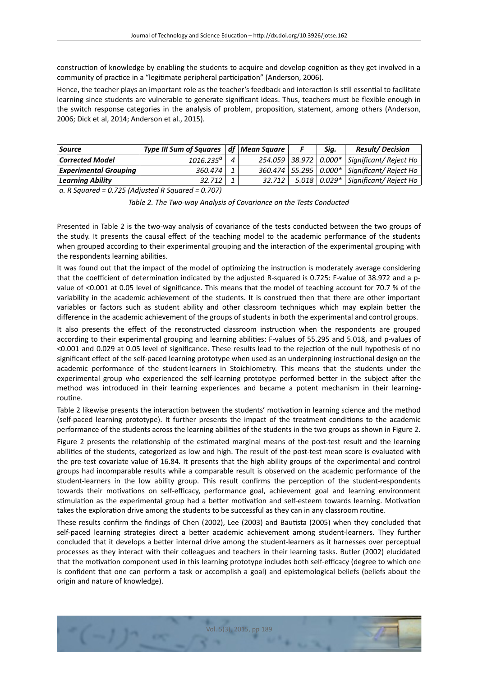construction of knowledge by enabling the students to acquire and develop cognition as they get involved in a community of practice in a "legitimate peripheral participation" (Anderson, 2006).

Hence, the teacher plays an important role as the teacher's feedback and interaction is still essential to facilitate learning since students are vulnerable to generate signifcant ideas. Thus, teachers must be fexible enough in the switch response categories in the analysis of problem, propositon, statement, among others (Anderson, 2006; Dick et al, 2014; Anderson et al., 2015).

| <b>Source</b>                | Type III Sum of Squares $\vert$ df $\vert$ Mean Square |        | Sig. | <b>Result/Decision</b>                             |
|------------------------------|--------------------------------------------------------|--------|------|----------------------------------------------------|
| <b>Corrected Model</b>       | $1016.235^a$                                           |        |      | 254.059   38.972   0.000*   Significant/ Reject Ho |
| <b>Experimental Grouping</b> | 360.474                                                |        |      | 360.474   55.295   0.000*   Significant/ Reject Ho |
| <b>Learning Ability</b>      | 32.712                                                 | 32.712 |      | 5.018   0.029*   Significant/ Reject Ho            |

*a. R Squared = 0.725 (Adjusted R Squared = 0.707)*

*Table 2. The Two-way Analysis of Covariance on the Tests Conducted*

Presented in Table 2 is the two-way analysis of covariance of the tests conducted between the two groups of the study. It presents the causal efect of the teaching model to the academic performance of the students when grouped according to their experimental grouping and the interaction of the experimental grouping with the respondents learning abilities.

It was found out that the impact of the model of optimizing the instruction is moderately average considering that the coefficient of determination indicated by the adjusted R-squared is 0.725: F-value of 38.972 and a pvalue of <0.001 at 0.05 level of signifcance. This means that the model of teaching account for 70.7 % of the variability in the academic achievement of the students. It is construed then that there are other important variables or factors such as student ability and other classroom techniques which may explain beter the diference in the academic achievement of the groups of students in both the experimental and control groups.

It also presents the effect of the reconstructed classroom instruction when the respondents are grouped according to their experimental grouping and learning abilites: F-values of 55.295 and 5.018, and p-values of <0.001 and 0.029 at 0.05 level of signifcance. These results lead to the rejecton of the null hypothesis of no signifcant efect of the self-paced learning prototype when used as an underpinning instructonal design on the academic performance of the student-learners in Stoichiometry. This means that the students under the experimental group who experienced the self-learning prototype performed beter in the subject afer the method was introduced in their learning experiences and became a potent mechanism in their learningroutne.

Table 2 likewise presents the interaction between the students' motivation in learning science and the method (self-paced learning prototype). It further presents the impact of the treatment conditons to the academic performance of the students across the learning abilites of the students in the two groups as shown in Figure 2.

Figure 2 presents the relatonship of the estmated marginal means of the post-test result and the learning abilites of the students, categorized as low and high. The result of the post-test mean score is evaluated with the pre-test covariate value of 16.84. It presents that the high ability groups of the experimental and control groups had incomparable results while a comparable result is observed on the academic performance of the student-learners in the low ability group. This result confirms the perception of the student-respondents towards their motivations on self-efficacy, performance goal, achievement goal and learning environment stimulation as the experimental group had a better motivation and self-esteem towards learning. Motivation takes the exploration drive among the students to be successful as they can in any classroom routine.

These results confrm the fndings of Chen (2002), Lee (2003) and Bautsta (2005) when they concluded that self-paced learning strategies direct a better academic achievement among student-learners. They further concluded that it develops a beter internal drive among the student-learners as it harnesses over perceptual processes as they interact with their colleagues and teachers in their learning tasks. Butler (2002) elucidated that the motivation component used in this learning prototype includes both self-efficacy (degree to which one is confdent that one can perform a task or accomplish a goal) and epistemological beliefs (beliefs about the origin and nature of knowledge).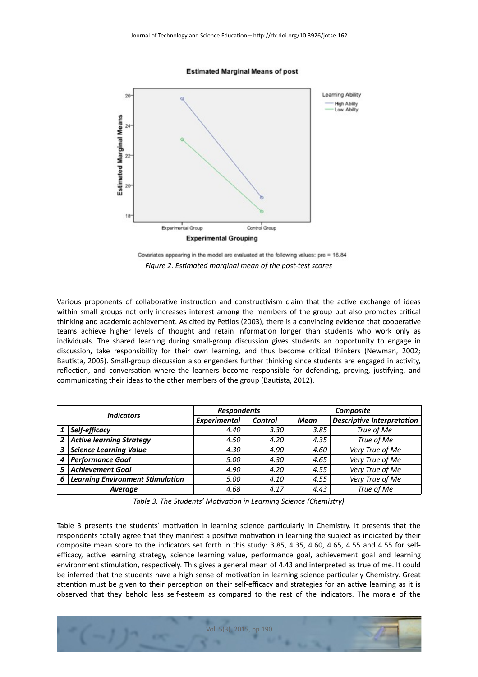**Estimated Marginal Means of post** 



Covariates appearing in the model are evaluated at the following values: pre = 16.84 *Figure 2. Estmated marginal mean of the post-test scores*

Various proponents of collaborative instruction and constructivism claim that the active exchange of ideas within small groups not only increases interest among the members of the group but also promotes critcal thinking and academic achievement. As cited by Petlos (2003), there is a convincing evidence that cooperatve teams achieve higher levels of thought and retain information longer than students who work only as individuals. The shared learning during small-group discussion gives students an opportunity to engage in discussion, take responsibility for their own learning, and thus become critcal thinkers (Newman, 2002; Bautsta, 2005). Small-group discussion also engenders further thinking since students are engaged in actvity, reflection, and conversation where the learners become responsible for defending, proving, justifying, and communicating their ideas to the other members of the group (Bautista, 2012).

| <b>Indicators</b> |                                         | <b>Respondents</b>  |                | Composite   |                                   |  |  |
|-------------------|-----------------------------------------|---------------------|----------------|-------------|-----------------------------------|--|--|
|                   |                                         | <b>Experimental</b> | <b>Control</b> | <b>Mean</b> | <b>Descriptive Interpretation</b> |  |  |
|                   | Self-efficacy                           | 4.40                | 3.30           | 3.85        | True of Me                        |  |  |
| $\mathbf{2}$      | <b>Active learning Strategy</b>         | 4.50                | 4.20           | 4.35        | True of Me                        |  |  |
|                   | 3 Science Learning Value                | 4.30                | 4.90           | 4.60        | Very True of Me                   |  |  |
| 4                 | <b>Performance Goal</b>                 | 5.00                | 4.30           | 4.65        | Very True of Me                   |  |  |
|                   | <b>Achievement Goal</b>                 | 4.90                | 4.20           | 4.55        | Very True of Me                   |  |  |
| 6                 | <b>Learning Environment Stimulation</b> | 5.00                | 4.10           | 4.55        | Very True of Me                   |  |  |
| <b>Average</b>    |                                         | 4.68                | 4.17           | 4.43        | True of Me                        |  |  |

*Table 3. The Students' Motvaton in Learning Science (Chemistry)*

Table 3 presents the students' motivation in learning science particularly in Chemistry. It presents that the respondents totally agree that they manifest a positive motivation in learning the subject as indicated by their composite mean score to the indicators set forth in this study: 3.85, 4.35, 4.60, 4.65, 4.55 and 4.55 for selfefficacy, active learning strategy, science learning value, performance goal, achievement goal and learning environment stmulaton, respectvely. This gives a general mean of 4.43 and interpreted as true of me. It could be inferred that the students have a high sense of motivation in learning science particularly Chemistry. Great attention must be given to their perception on their self-efficacy and strategies for an active learning as it is observed that they behold less self-esteem as compared to the rest of the indicators. The morale of the

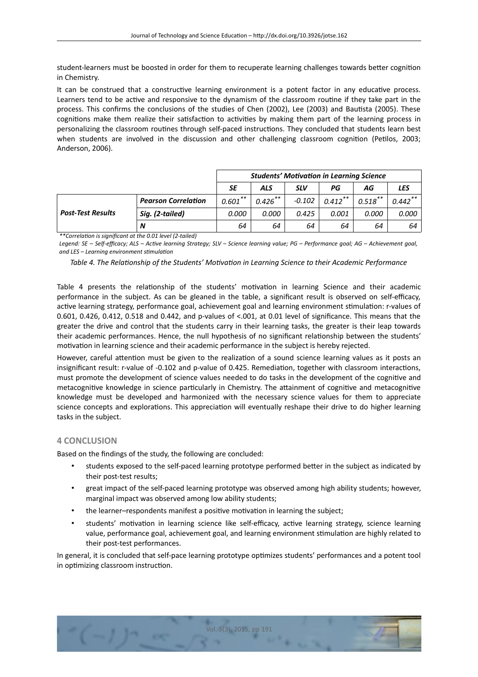student-learners must be boosted in order for them to recuperate learning challenges towards better cognition in Chemistry.

It can be construed that a constructive learning environment is a potent factor in any educative process. Learners tend to be active and responsive to the dynamism of the classroom routine if they take part in the process. This confrms the conclusions of the studies of Chen (2002), Lee (2003) and Bautsta (2005). These cognitions make them realize their satisfaction to activities by making them part of the learning process in personalizing the classroom routnes through self-paced instructons. They concluded that students learn best when students are involved in the discussion and other challenging classroom cognition (Petilos, 2003; Anderson, 2006).

|                          |                            | <b>Students' Motivation in Learning Science</b> |            |            |            |            |            |
|--------------------------|----------------------------|-------------------------------------------------|------------|------------|------------|------------|------------|
|                          |                            | SE                                              | ALS        | <b>SLV</b> | РG         | ΑG         | LES        |
|                          | <b>Pearson Correlation</b> | $0.601***$                                      | $0.426***$ | $-0.102$   | $0.412***$ | $0.518$ ** | $0.442$ ** |
| <b>Post-Test Results</b> | Sig. (2-tailed)            | 0.000                                           | 0.000      | 0.425      | 0.001      | 0.000      | 0.000      |
|                          | N                          | 64                                              | 64         | 64         | 64         | 64         | 64         |

*\*\*Correlaton is signifcant at the 0.01 level (2-tailed)*

*Legend: SE – Self-efcacy; ALS – Actve learning Strategy; SLV – Science learning value; PG – Performance goal; AG – Achievement goal, and LES – Learning environment stmulaton*

#### *Table 4. The Relatonship of the Students' Motvaton in Learning Science to their Academic Performance*

Table 4 presents the relationship of the students' motivation in learning Science and their academic performance in the subject. As can be gleaned in the table, a significant result is observed on self-efficacy, active learning strategy, performance goal, achievement goal and learning environment stimulation: r-values of 0.601, 0.426, 0.412, 0.518 and 0.442, and p-values of <.001, at 0.01 level of signifcance. This means that the greater the drive and control that the students carry in their learning tasks, the greater is their leap towards their academic performances. Hence, the null hypothesis of no signifcant relatonship between the students' motivation in learning science and their academic performance in the subject is hereby rejected.

However, careful attention must be given to the realization of a sound science learning values as it posts an insignificant result: r-value of -0.102 and p-value of 0.425. Remediation, together with classroom interactions, must promote the development of science values needed to do tasks in the development of the cognitve and metacognitve knowledge in science partcularly in Chemistry. The atainment of cognitve and metacognitve knowledge must be developed and harmonized with the necessary science values for them to appreciate science concepts and explorations. This appreciation will eventually reshape their drive to do higher learning tasks in the subject.

### **4 CONCLUSION**

Based on the fndings of the study, the following are concluded:

- students exposed to the self-paced learning prototype performed beter in the subject as indicated by their post-test results;
- great impact of the self-paced learning prototype was observed among high ability students; however, marginal impact was observed among low ability students;
- the learner–respondents manifest a positive motivation in learning the subject;
- students' motivation in learning science like self-efficacy, active learning strategy, science learning value, performance goal, achievement goal, and learning environment stimulation are highly related to their post-test performances.

In general, it is concluded that self-pace learning prototype optmizes students' performances and a potent tool in optimizing classroom instruction.

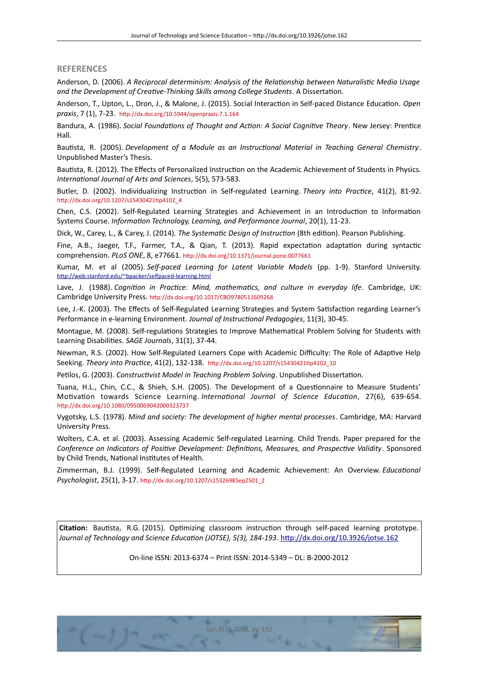#### **REFERENCES**

Anderson, D. (2006). *A Reciprocal determinism: Analysis of the Relatonship between Naturalistc Media Usage and the Development of Creatve-Thinking Skills among College Students*. A Dissertaton.

Anderson, T., Upton, L., Dron, J., & Malone, J. (2015). Social Interacton in Self-paced Distance Educaton. *Open praxis*, 7 (1), 7-23. [htp://dx.doi.org/10.5944/openpraxis.7.1.164](http://dx.doi.org/10.5944/openpraxis.7.1.164)

Bandura, A. (1986). *Social Foundatons of Thought and Acton: A Social Cognitve Theory*. New Jersey: Prentce Hall.

Bautsta, R. (2005). *Development of a Module as an Instructonal Material in Teaching General Chemistry*. Unpublished Master's Thesis.

Bautista, R. (2012). The Effects of Personalized Instruction on the Academic Achievement of Students in Physics. *Internatonal Journal of Arts and Sciences*, 5(5), 573-583.

Butler, D. (2002). Individualizing Instruction in Self-regulated Learning. *Theory into Practice*, 41(2), 81-92. [htp://dx.doi.org/10.1207/s15430421tp4102\\_4](http://dx.doi.org/10.1207/s15430421tip4102_4)

Chen, C.S. (2002). Self-Regulated Learning Strategies and Achievement in an Introduction to Information Systems Course. *Informaton Technology, Learning, and Performance Journal*, 20(1), 11-23.

Dick, W., Carey, L., & Carey, J. (2014). *The Systematc Design of Instructon* (8th editon). Pearson Publishing.

Fine, A.B., Jaeger, T.F., Farmer, T.A., & Qian, T. (2013). Rapid expectation adaptation during syntactic comprehension. *PLoS ONE*, 8, e77661. [htp://dx.doi.org/10.1371/journal.pone.0077661](http://dx.doi.org/10.1371/journal.pone.0077661)

Kumar, M. et al (2005). *Self-paced Learning for Latent Variable Models* (pp. 1-9). Stanford University. [htp://web.stanford.edu/~bpacker/selfpaced-learning.html](http://web.stanford.edu/~bpacker/selfpaced-learning.html)

Lave, J. (1988). *Cognition in Practice: Mind, mathematics, and culture in everyday life*. Cambridge, UK: Cambridge University Press. [htp://dx.doi.org/10.1017/CBO9780511609268](http://dx.doi.org/10.1017/CBO9780511609268)

Lee, J.-K. (2003). The Efects of Self-Regulated Learning Strategies and System Satsfacton regarding Learner's Performance in e-learning Environment. *Journal of Instructonal Pedagogies*, 11(3), 30-45.

Montague, M. (2008). Self-regulatons Strategies to Improve Mathematcal Problem Solving for Students with Learning Disabilites. *SAGE Journals*, 31(1), 37-44.

Newman, R.S. (2002). How Self-Regulated Learners Cope with Academic Difficulty: The Role of Adaptive Help Seeking. *Theory into Practice*, 41(2), 132-138. http://dx.doi.org/10.1207/s15430421tip4102\_10

Petlos, G. (2003). *Constructvist Model in Teaching Problem Solving*. Unpublished Dissertaton.

Tuana, H.L., Chin, C.C., & Shieh, S.H. (2005). The Development of a Questonnaire to Measure Students' Motvaton towards Science Learning. *Internatonal Journal of Science Educaton*, 27(6), 639-654. [htp://dx.doi.org/10.1080/0950069042000323737](http://dx.doi.org/10.1080/0950069042000323737)

Vygotsky, L.S. (1978). *Mind and society: The development of higher mental processes*. Cambridge, MA: Harvard University Press.

Wolters, C.A. et al. (2003). Assessing Academic Self-regulated Learning. Child Trends. Paper prepared for the *Conference on Indicators of Positve Development: Defnitons, Measures, and Prospectve Validity*. Sponsored by Child Trends, National Institutes of Health.

Zimmerman, B.J. (1999). Self-Regulated Learning and Academic Achievement: An Overview. *Educatonal Psychologist*, 25(1), 3-17. [htp://dx.doi.org/10.1207/s15326985ep2501\\_2](http://dx.doi.org/10.1207/s15326985ep2501_2)

**Citaton:** Bautsta, R.G. (2015). Optmizing classroom instructon through self-paced learning prototype. Journal of Technology and Science Education (JOTSE), 5(3), 184-193. http://dx.doi.org/10.3926/jotse.162

On-line ISSN: 2013-6374 – Print ISSN: 2014-5349 – DL: B-2000-2012